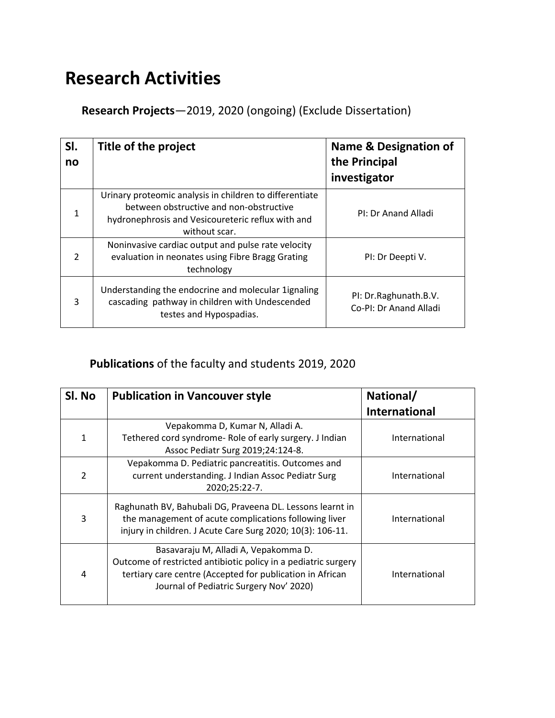# **Research Activities**

**Research Projects**—2019, 2020 (ongoing) (Exclude Dissertation)

| SI.<br>no     | Title of the project                                                                                                                                                     | <b>Name &amp; Designation of</b><br>the Principal<br>investigator |
|---------------|--------------------------------------------------------------------------------------------------------------------------------------------------------------------------|-------------------------------------------------------------------|
| $\mathbf{1}$  | Urinary proteomic analysis in children to differentiate<br>between obstructive and non-obstructive<br>hydronephrosis and Vesicoureteric reflux with and<br>without scar. | PI: Dr Anand Alladi                                               |
| $\mathcal{P}$ | Noninvasive cardiac output and pulse rate velocity<br>evaluation in neonates using Fibre Bragg Grating<br>technology                                                     | PI: Dr Deepti V.                                                  |
| 3             | Understanding the endocrine and molecular 1 ignaling<br>cascading pathway in children with Undescended<br>testes and Hypospadias.                                        | PI: Dr.Raghunath.B.V.<br>Co-PI: Dr Anand Alladi                   |

### **Publications** of the faculty and students 2019, 2020

| Sl. No<br><b>Publication in Vancouver style</b> |                                                                                                                                                                                                                | National/            |
|-------------------------------------------------|----------------------------------------------------------------------------------------------------------------------------------------------------------------------------------------------------------------|----------------------|
|                                                 |                                                                                                                                                                                                                | <b>International</b> |
| 1                                               | Vepakomma D, Kumar N, Alladi A.<br>Tethered cord syndrome- Role of early surgery. J Indian<br>Assoc Pediatr Surg 2019;24:124-8.                                                                                | International        |
| $\overline{2}$                                  | Vepakomma D. Pediatric pancreatitis. Outcomes and<br>current understanding. J Indian Assoc Pediatr Surg<br>2020;25:22-7.                                                                                       | International        |
| 3                                               | Raghunath BV, Bahubali DG, Praveena DL. Lessons learnt in<br>the management of acute complications following liver<br>injury in children. J Acute Care Surg 2020; 10(3): 106-11.                               | International        |
| 4                                               | Basavaraju M, Alladi A, Vepakomma D.<br>Outcome of restricted antibiotic policy in a pediatric surgery<br>tertiary care centre (Accepted for publication in African<br>Journal of Pediatric Surgery Nov' 2020) | International        |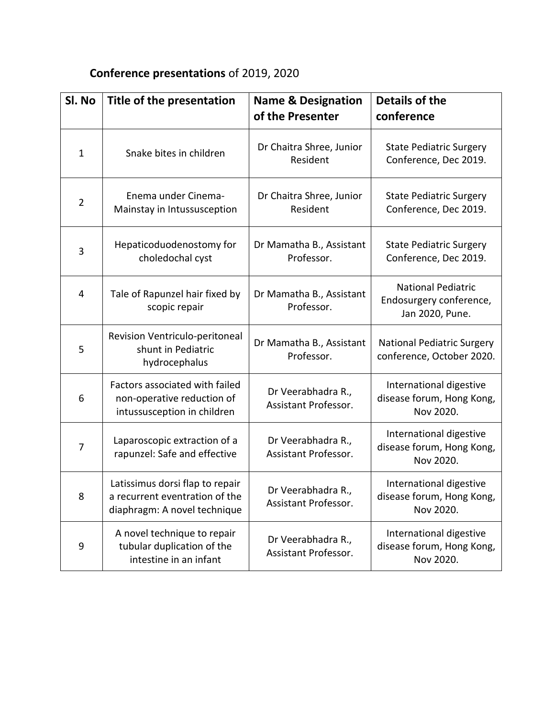## **Conference presentations** of 2019, 2020

| Sl. No         | Title of the presentation                                                                         | <b>Name &amp; Designation</b><br>of the Presenter | <b>Details of the</b><br>conference                                     |
|----------------|---------------------------------------------------------------------------------------------------|---------------------------------------------------|-------------------------------------------------------------------------|
| $\mathbf{1}$   | Snake bites in children                                                                           | Dr Chaitra Shree, Junior<br>Resident              | <b>State Pediatric Surgery</b><br>Conference, Dec 2019.                 |
| $\overline{2}$ | Enema under Cinema-<br>Mainstay in Intussusception                                                | Dr Chaitra Shree, Junior<br>Resident              | <b>State Pediatric Surgery</b><br>Conference, Dec 2019.                 |
| 3              | Hepaticoduodenostomy for<br>choledochal cyst                                                      | Dr Mamatha B., Assistant<br>Professor.            | <b>State Pediatric Surgery</b><br>Conference, Dec 2019.                 |
| 4              | Tale of Rapunzel hair fixed by<br>scopic repair                                                   | Dr Mamatha B., Assistant<br>Professor.            | <b>National Pediatric</b><br>Endosurgery conference,<br>Jan 2020, Pune. |
| 5              | Revision Ventriculo-peritoneal<br>shunt in Pediatric<br>hydrocephalus                             | Dr Mamatha B., Assistant<br>Professor.            | <b>National Pediatric Surgery</b><br>conference, October 2020.          |
| 6              | Factors associated with failed<br>non-operative reduction of<br>intussusception in children       | Dr Veerabhadra R.,<br>Assistant Professor.        | International digestive<br>disease forum, Hong Kong,<br>Nov 2020.       |
| $\overline{7}$ | Laparoscopic extraction of a<br>rapunzel: Safe and effective                                      | Dr Veerabhadra R.,<br>Assistant Professor.        | International digestive<br>disease forum, Hong Kong,<br>Nov 2020.       |
| 8              | Latissimus dorsi flap to repair<br>a recurrent eventration of the<br>diaphragm: A novel technique | Dr Veerabhadra R.,<br>Assistant Professor.        | International digestive<br>disease forum, Hong Kong,<br>Nov 2020.       |
| 9              | A novel technique to repair<br>tubular duplication of the<br>intestine in an infant               | Dr Veerabhadra R.,<br>Assistant Professor.        | International digestive<br>disease forum, Hong Kong,<br>Nov 2020.       |